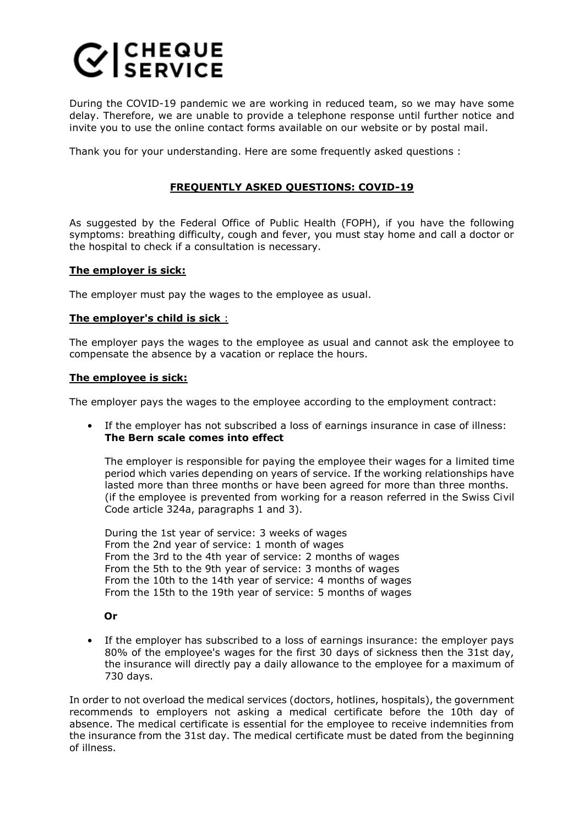## $C$  SERVICE

During the COVID-19 pandemic we are working in reduced team, so we may have some delay. Therefore, we are unable to provide a telephone response until further notice and invite you to use the online contact forms available on our website or by postal mail.

Thank you for your understanding. Here are some frequently asked questions :

## **FREQUENTLY ASKED QUESTIONS: COVID-19**

As suggested by the Federal Office of Public Health (FOPH), if you have the following symptoms: breathing difficulty, cough and fever, you must stay home and call a doctor or the hospital to check if a consultation is necessary.

## **The employer is sick:**

The employer must pay the wages to the employee as usual.

## **The employer's child is sick** :

The employer pays the wages to the employee as usual and cannot ask the employee to compensate the absence by a vacation or replace the hours.

#### **The employee is sick:**

The employer pays the wages to the employee according to the employment contract:

• If the employer has not subscribed a loss of earnings insurance in case of illness: **The Bern scale comes into effect**

The employer is responsible for paying the employee their wages for a limited time period which varies depending on years of service. If the working relationships have lasted more than three months or have been agreed for more than three months. (if the employee is prevented from working for a reason referred in the Swiss Civil Code article 324a, paragraphs 1 and 3).

During the 1st year of service: 3 weeks of wages From the 2nd year of service: 1 month of wages From the 3rd to the 4th year of service: 2 months of wages From the 5th to the 9th year of service: 3 months of wages From the 10th to the 14th year of service: 4 months of wages From the 15th to the 19th year of service: 5 months of wages

#### **Or**

• If the employer has subscribed to a loss of earnings insurance: the employer pays 80% of the employee's wages for the first 30 days of sickness then the 31st day, the insurance will directly pay a daily allowance to the employee for a maximum of 730 days.

In order to not overload the medical services (doctors, hotlines, hospitals), the government recommends to employers not asking a medical certificate before the 10th day of absence. The medical certificate is essential for the employee to receive indemnities from the insurance from the 31st day. The medical certificate must be dated from the beginning of illness.